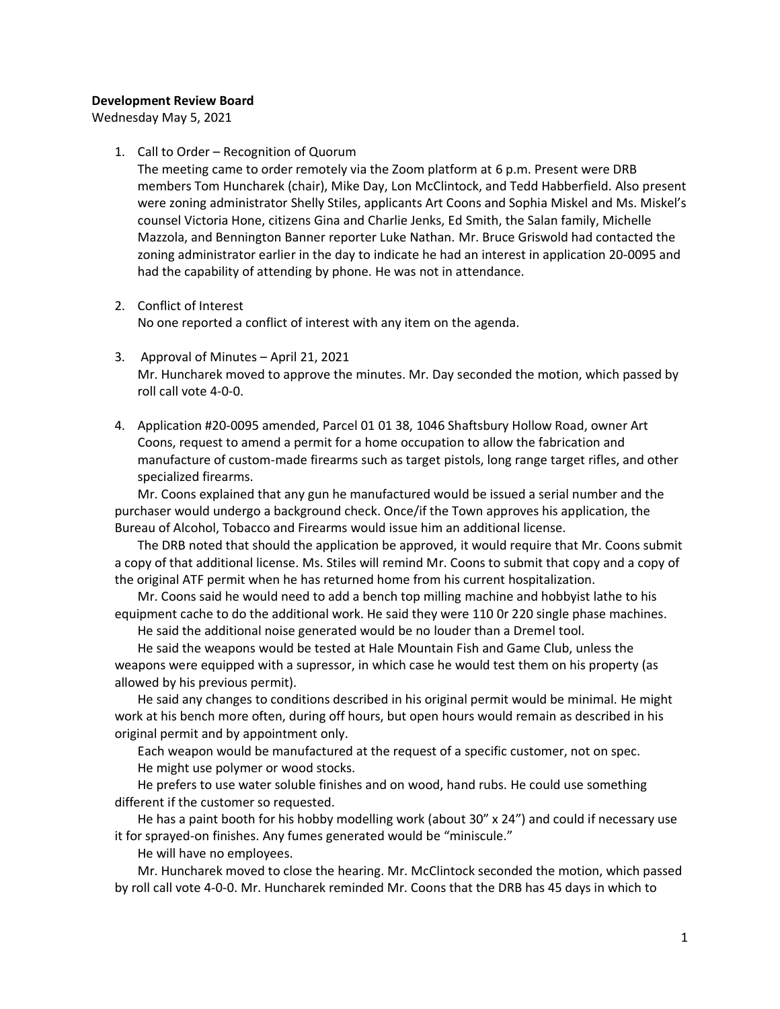## **Development Review Board**

Wednesday May 5, 2021

## 1. Call to Order – Recognition of Quorum

The meeting came to order remotely via the Zoom platform at 6 p.m. Present were DRB members Tom Huncharek (chair), Mike Day, Lon McClintock, and Tedd Habberfield. Also present were zoning administrator Shelly Stiles, applicants Art Coons and Sophia Miskel and Ms. Miskel's counsel Victoria Hone, citizens Gina and Charlie Jenks, Ed Smith, the Salan family, Michelle Mazzola, and Bennington Banner reporter Luke Nathan. Mr. Bruce Griswold had contacted the zoning administrator earlier in the day to indicate he had an interest in application 20-0095 and had the capability of attending by phone. He was not in attendance.

## 2. Conflict of Interest

No one reported a conflict of interest with any item on the agenda.

- 3. Approval of Minutes April 21, 2021 Mr. Huncharek moved to approve the minutes. Mr. Day seconded the motion, which passed by roll call vote 4-0-0.
- 4. Application #20-0095 amended, Parcel 01 01 38, 1046 Shaftsbury Hollow Road, owner Art Coons, request to amend a permit for a home occupation to allow the fabrication and manufacture of custom-made firearms such as target pistols, long range target rifles, and other specialized firearms.

Mr. Coons explained that any gun he manufactured would be issued a serial number and the purchaser would undergo a background check. Once/if the Town approves his application, the Bureau of Alcohol, Tobacco and Firearms would issue him an additional license.

The DRB noted that should the application be approved, it would require that Mr. Coons submit a copy of that additional license. Ms. Stiles will remind Mr. Coons to submit that copy and a copy of the original ATF permit when he has returned home from his current hospitalization.

Mr. Coons said he would need to add a bench top milling machine and hobbyist lathe to his equipment cache to do the additional work. He said they were 110 0r 220 single phase machines.

He said the additional noise generated would be no louder than a Dremel tool.

He said the weapons would be tested at Hale Mountain Fish and Game Club, unless the weapons were equipped with a supressor, in which case he would test them on his property (as allowed by his previous permit).

He said any changes to conditions described in his original permit would be minimal. He might work at his bench more often, during off hours, but open hours would remain as described in his original permit and by appointment only.

Each weapon would be manufactured at the request of a specific customer, not on spec. He might use polymer or wood stocks.

He prefers to use water soluble finishes and on wood, hand rubs. He could use something different if the customer so requested.

He has a paint booth for his hobby modelling work (about 30" x 24") and could if necessary use it for sprayed-on finishes. Any fumes generated would be "miniscule."

He will have no employees.

Mr. Huncharek moved to close the hearing. Mr. McClintock seconded the motion, which passed by roll call vote 4-0-0. Mr. Huncharek reminded Mr. Coons that the DRB has 45 days in which to